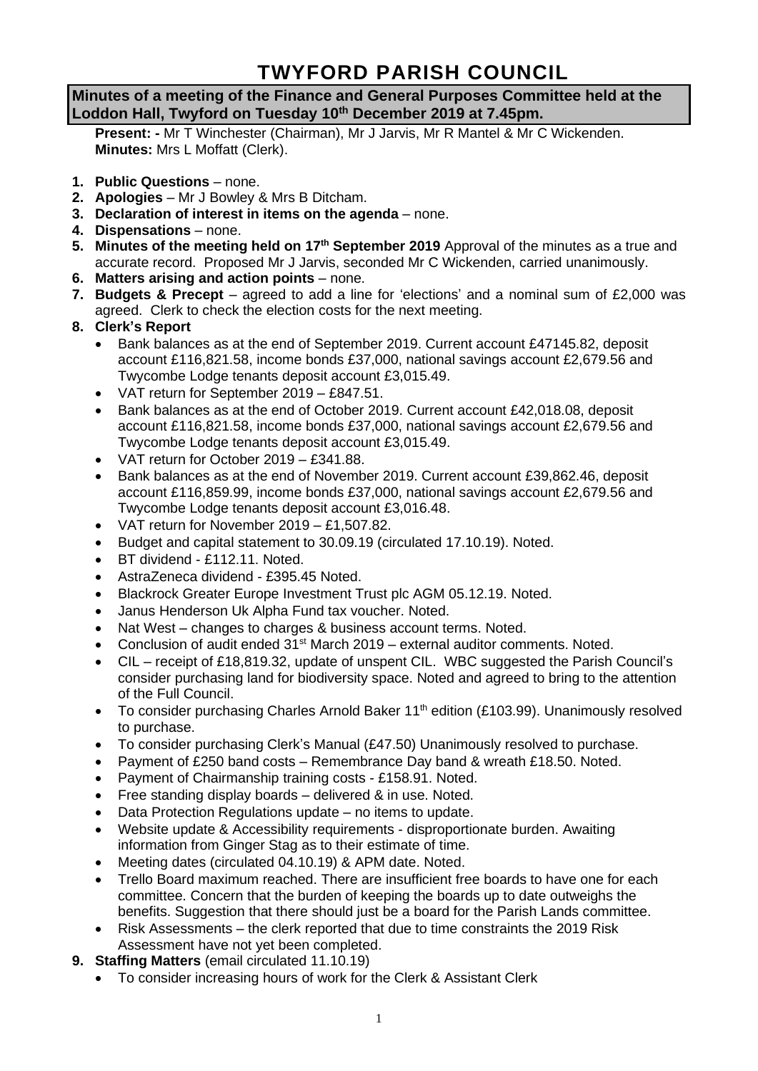# **TWYFORD PARISH COUNCIL**

# **Minutes of a meeting of the Finance and General Purposes Committee held at the Loddon Hall, Twyford on Tuesday 10th December 2019 at 7.45pm.**

**Present: -** Mr T Winchester (Chairman), Mr J Jarvis, Mr R Mantel & Mr C Wickenden. **Minutes:** Mrs L Moffatt (Clerk).

- **1. Public Questions** none.
- **2. Apologies** Mr J Bowley & Mrs B Ditcham.
- **3. Declaration of interest in items on the agenda** none.
- **4. Dispensations** none.
- **5. Minutes of the meeting held on 17th September 2019** Approval of the minutes as a true and accurate record. Proposed Mr J Jarvis, seconded Mr C Wickenden, carried unanimously.
- **6. Matters arising and action points** none.
- **7. Budgets & Precept** agreed to add a line for 'elections' and a nominal sum of £2,000 was agreed. Clerk to check the election costs for the next meeting.
- **8. Clerk's Report**
	- Bank balances as at the end of September 2019. Current account £47145.82, deposit account £116,821.58, income bonds £37,000, national savings account £2,679.56 and Twycombe Lodge tenants deposit account £3,015.49.
	- VAT return for September 2019 £847.51.
	- Bank balances as at the end of October 2019. Current account £42,018.08, deposit account £116,821.58, income bonds £37,000, national savings account £2,679.56 and Twycombe Lodge tenants deposit account £3,015.49.
	- VAT return for October 2019 £341.88.
	- Bank balances as at the end of November 2019. Current account £39,862.46, deposit account £116,859.99, income bonds £37,000, national savings account £2,679.56 and Twycombe Lodge tenants deposit account £3,016.48.
	- VAT return for November 2019 £1,507.82.
	- Budget and capital statement to 30.09.19 (circulated 17.10.19). Noted.
	- BT dividend £112.11. Noted.
	- AstraZeneca dividend £395.45 Noted.
	- Blackrock Greater Europe Investment Trust plc AGM 05.12.19. Noted.
	- Janus Henderson Uk Alpha Fund tax voucher. Noted.
	- Nat West changes to charges & business account terms. Noted.
	- Conclusion of audit ended  $31^{st}$  March 2019 external auditor comments. Noted.
	- CIL receipt of £18,819.32, update of unspent CIL. WBC suggested the Parish Council's consider purchasing land for biodiversity space. Noted and agreed to bring to the attention of the Full Council.
	- To consider purchasing Charles Arnold Baker 11<sup>th</sup> edition (£103.99). Unanimously resolved to purchase.
	- To consider purchasing Clerk's Manual (£47.50) Unanimously resolved to purchase.
	- Payment of £250 band costs Remembrance Day band & wreath £18.50. Noted.
	- Payment of Chairmanship training costs £158.91. Noted.
	- Free standing display boards delivered & in use. Noted.
	- Data Protection Regulations update no items to update.
	- Website update & Accessibility requirements disproportionate burden. Awaiting information from Ginger Stag as to their estimate of time.
	- Meeting dates (circulated 04.10.19) & APM date. Noted.
	- Trello Board maximum reached. There are insufficient free boards to have one for each committee. Concern that the burden of keeping the boards up to date outweighs the benefits. Suggestion that there should just be a board for the Parish Lands committee.
	- Risk Assessments the clerk reported that due to time constraints the 2019 Risk Assessment have not yet been completed.
- **9. Staffing Matters** (email circulated 11.10.19)
	- To consider increasing hours of work for the Clerk & Assistant Clerk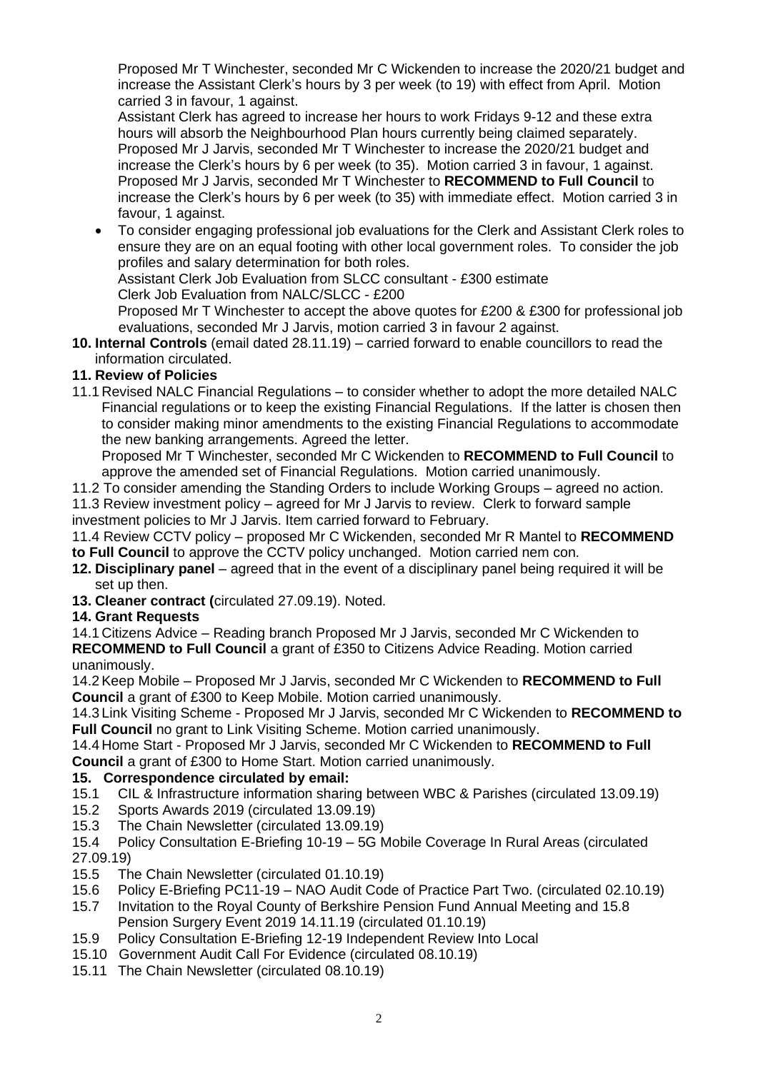Proposed Mr T Winchester, seconded Mr C Wickenden to increase the 2020/21 budget and increase the Assistant Clerk's hours by 3 per week (to 19) with effect from April. Motion carried 3 in favour, 1 against.

Assistant Clerk has agreed to increase her hours to work Fridays 9-12 and these extra hours will absorb the Neighbourhood Plan hours currently being claimed separately. Proposed Mr J Jarvis, seconded Mr T Winchester to increase the 2020/21 budget and increase the Clerk's hours by 6 per week (to 35). Motion carried 3 in favour, 1 against. Proposed Mr J Jarvis, seconded Mr T Winchester to **RECOMMEND to Full Council** to increase the Clerk's hours by 6 per week (to 35) with immediate effect. Motion carried 3 in favour, 1 against.

• To consider engaging professional job evaluations for the Clerk and Assistant Clerk roles to ensure they are on an equal footing with other local government roles. To consider the job profiles and salary determination for both roles.

Assistant Clerk Job Evaluation from SLCC consultant - £300 estimate

Clerk Job Evaluation from NALC/SLCC - £200

Proposed Mr T Winchester to accept the above quotes for £200 & £300 for professional job evaluations, seconded Mr J Jarvis, motion carried 3 in favour 2 against.

**10. Internal Controls** (email dated 28.11.19) – carried forward to enable councillors to read the information circulated.

# **11. Review of Policies**

11.1 Revised NALC Financial Regulations – to consider whether to adopt the more detailed NALC Financial regulations or to keep the existing Financial Regulations. If the latter is chosen then to consider making minor amendments to the existing Financial Regulations to accommodate the new banking arrangements. Agreed the letter.

Proposed Mr T Winchester, seconded Mr C Wickenden to **RECOMMEND to Full Council** to approve the amended set of Financial Regulations. Motion carried unanimously.

11.2 To consider amending the Standing Orders to include Working Groups – agreed no action.

11.3 Review investment policy – agreed for Mr J Jarvis to review. Clerk to forward sample investment policies to Mr J Jarvis. Item carried forward to February.

11.4 Review CCTV policy – proposed Mr C Wickenden, seconded Mr R Mantel to **RECOMMEND to Full Council** to approve the CCTV policy unchanged. Motion carried nem con.

- **12. Disciplinary panel** agreed that in the event of a disciplinary panel being required it will be set up then.
- **13. Cleaner contract (**circulated 27.09.19). Noted.

# **14. Grant Requests**

14.1 Citizens Advice – Reading branch Proposed Mr J Jarvis, seconded Mr C Wickenden to **RECOMMEND to Full Council** a grant of £350 to Citizens Advice Reading. Motion carried unanimously.

14.2Keep Mobile – Proposed Mr J Jarvis, seconded Mr C Wickenden to **RECOMMEND to Full Council** a grant of £300 to Keep Mobile. Motion carried unanimously.

14.3 Link Visiting Scheme - Proposed Mr J Jarvis, seconded Mr C Wickenden to **RECOMMEND to Full Council** no grant to Link Visiting Scheme. Motion carried unanimously.

14.4 Home Start - Proposed Mr J Jarvis, seconded Mr C Wickenden to **RECOMMEND to Full Council** a grant of £300 to Home Start. Motion carried unanimously.

### **15. Correspondence circulated by email:**

- 15.1 CIL & Infrastructure information sharing between WBC & Parishes (circulated 13.09.19)
- 15.2 Sports Awards 2019 (circulated 13.09.19)
- 15.3 The Chain Newsletter (circulated 13.09.19)

15.4 Policy Consultation E-Briefing 10-19 – 5G Mobile Coverage In Rural Areas (circulated 27.09.19)

- 15.5 The Chain Newsletter (circulated 01.10.19)
- 15.6 Policy E-Briefing PC11-19 NAO Audit Code of Practice Part Two. (circulated 02.10.19)
- 15.7 Invitation to the Royal County of Berkshire Pension Fund Annual Meeting and 15.8 Pension Surgery Event 2019 14.11.19 (circulated 01.10.19)
- 15.9 Policy Consultation E-Briefing 12-19 Independent Review Into Local
- 15.10 Government Audit Call For Evidence (circulated 08.10.19)
- 15.11 The Chain Newsletter (circulated 08.10.19)